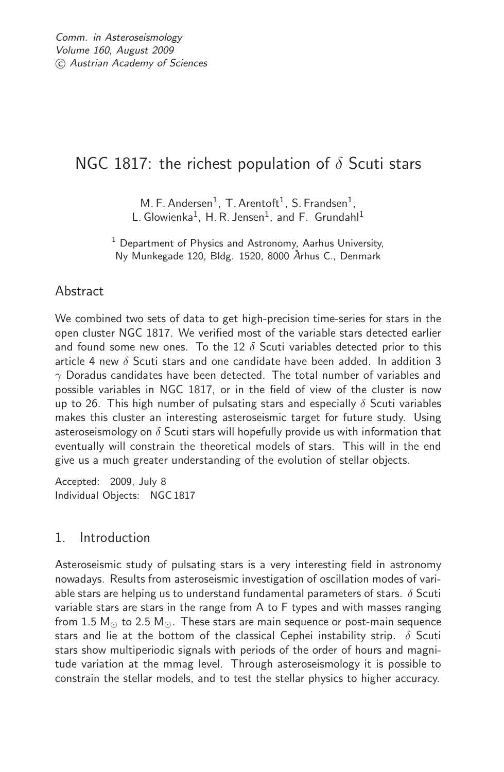# NGC 1817: the richest population of  $\delta$  Scuti stars

M. F. Andersen<sup>1</sup>, T. Arentoft<sup>1</sup>, S. Frandsen<sup>1</sup>, L. Glowienka<sup>1</sup>, H. R. Jensen<sup>1</sup>, and F. Grundahl<sup>1</sup>

 $1$  Department of Physics and Astronomy, Aarhus University, Ny Munkegade 120, Bldg. 1520, 8000 ˚*A*rhus C., Denmark

# Abstract

We combined two sets of data to get high-precision time-series for stars in the open cluster NGC 1817. We verified most of the variable stars detected earlier and found some new ones. To the 12  $\delta$  Scuti variables detected prior to this article 4 new  $\delta$  Scuti stars and one candidate have been added. In addition 3  $\gamma$  Doradus candidates have been detected. The total number of variables and possible variables in NGC 1817, or in the field of view of the cluster is now up to 26. This high number of pulsating stars and especially  $\delta$  Scuti variables makes this cluster an interesting asteroseismic target for future study. Using asteroseismology on  $\delta$  Scuti stars will hopefully provide us with information that eventually will constrain the theoretical models of stars. This will in the end give us a much greater understanding of the evolution of stellar objects.

Accepted: 2009, July 8 Individual Objects: NGC 1817

# 1. Introduction

Asteroseismic study of pulsating stars is a very interesting field in astronomy nowadays. Results from asteroseismic investigation of oscillation modes of variable stars are helping us to understand fundamental parameters of stars.  $\delta$  Scuti variable stars are stars in the range from A to F types and with masses ranging from 1.5  $M_{\odot}$  to 2.5  $M_{\odot}$ . These stars are main sequence or post-main sequence stars and lie at the bottom of the classical Cephei instability strip.  $\delta$  Scuti stars show multiperiodic signals with periods of the order of hours and magnitude variation at the mmag level. Through asteroseismology it is possible to constrain the stellar models, and to test the stellar physics to higher accuracy.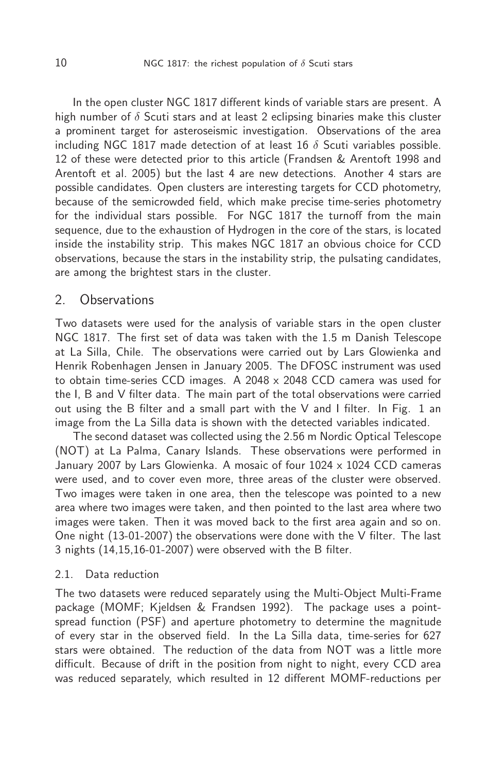In the open cluster NGC 1817 different kinds of variable stars are present. A high number of  $\delta$  Scuti stars and at least 2 eclipsing binaries make this cluster a prominent target for asteroseismic investigation. Observations of the area including NGC 1817 made detection of at least 16  $\delta$  Scuti variables possible. 12 of these were detected prior to this article (Frandsen & Arentoft 1998 and Arentoft et al. 2005) but the last 4 are new detections. Another 4 stars are possible candidates. Open clusters are interesting targets for CCD photometry, because of the semicrowded field, which make precise time-series photometry for the individual stars possible. For NGC 1817 the turnoff from the main sequence, due to the exhaustion of Hydrogen in the core of the stars, is located inside the instability strip. This makes NGC 1817 an obvious choice for CCD observations, because the stars in the instability strip, the pulsating candidates, are among the brightest stars in the cluster.

## 2. Observations

Two datasets were used for the analysis of variable stars in the open cluster NGC 1817. The first set of data was taken with the 1.5 m Danish Telescope at La Silla, Chile. The observations were carried out by Lars Glowienka and Henrik Robenhagen Jensen in January 2005. The DFOSC instrument was used to obtain time-series CCD images. A 2048  $\times$  2048 CCD camera was used for the I, B and V filter data. The main part of the total observations were carried out using the B filter and a small part with the V and I filter. In Fig. 1 an image from the La Silla data is shown with the detected variables indicated.

The second dataset was collected using the 2.56 m Nordic Optical Telescope (NOT) at La Palma, Canary Islands. These observations were performed in January 2007 by Lars Glowienka. A mosaic of four 1024 x 1024 CCD cameras were used, and to cover even more, three areas of the cluster were observed. Two images were taken in one area, then the telescope was pointed to a new area where two images were taken, and then pointed to the last area where two images were taken. Then it was moved back to the first area again and so on. One night (13-01-2007) the observations were done with the V filter. The last 3 nights (14,15,16-01-2007) were observed with the B filter.

#### 2.1. Data reduction

The two datasets were reduced separately using the Multi-Object Multi-Frame package (MOMF; Kjeldsen & Frandsen 1992). The package uses a pointspread function (PSF) and aperture photometry to determine the magnitude of every star in the observed field. In the La Silla data, time-series for 627 stars were obtained. The reduction of the data from NOT was a little more difficult. Because of drift in the position from night to night, every CCD area was reduced separately, which resulted in 12 different MOMF-reductions per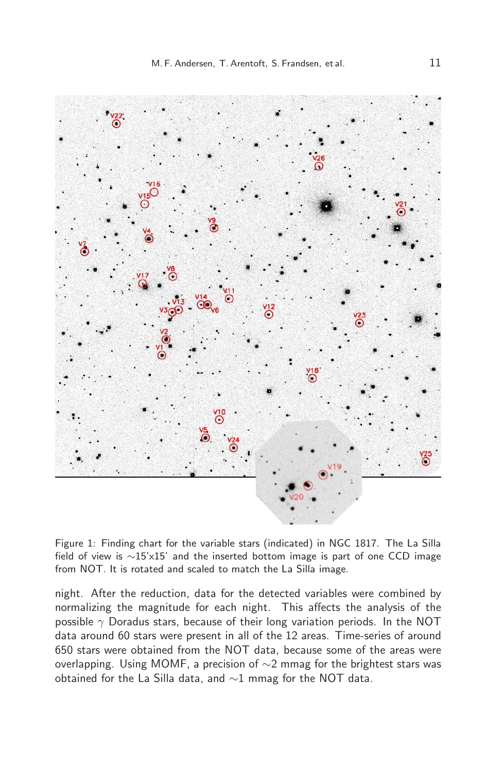

Figure 1: Finding chart for the variable stars (indicated) in NGC 1817. The La Silla field of view is ∼15'x15' and the inserted bottom image is part of one CCD image from NOT. It is rotated and scaled to match the La Silla image.

night. After the reduction, data for the detected variables were combined by normalizing the magnitude for each night. This affects the analysis of the possible  $\gamma$  Doradus stars, because of their long variation periods. In the NOT data around 60 stars were present in all of the 12 areas. Time-series of around 650 stars were obtained from the NOT data, because some of the areas were overlapping. Using MOMF, a precision of ∼2 mmag for the brightest stars was obtained for the La Silla data, and ∼1 mmag for the NOT data.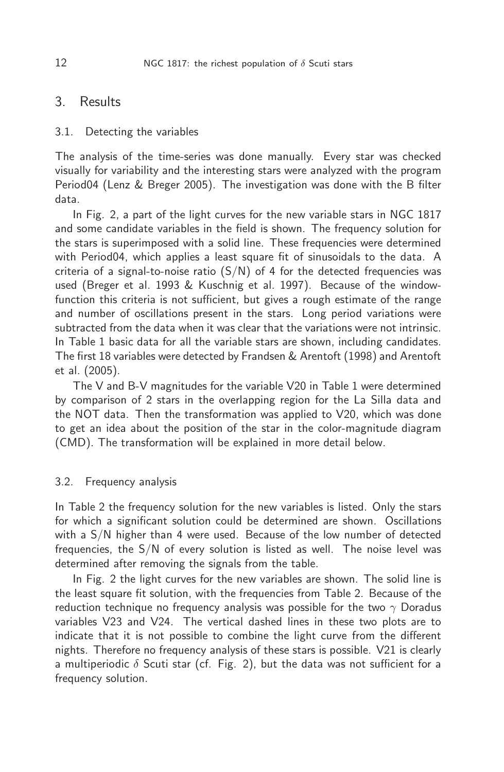## 3. Results

#### 3.1. Detecting the variables

The analysis of the time-series was done manually. Every star was checked visually for variability and the interesting stars were analyzed with the program Period04 (Lenz & Breger 2005). The investigation was done with the B filter data.

In Fig. 2, a part of the light curves for the new variable stars in NGC 1817 and some candidate variables in the field is shown. The frequency solution for the stars is superimposed with a solid line. These frequencies were determined with Period04, which applies a least square fit of sinusoidals to the data. A criteria of a signal-to-noise ratio  $(S/N)$  of 4 for the detected frequencies was used (Breger et al. 1993 & Kuschnig et al. 1997). Because of the windowfunction this criteria is not sufficient, but gives a rough estimate of the range and number of oscillations present in the stars. Long period variations were subtracted from the data when it was clear that the variations were not intrinsic. In Table 1 basic data for all the variable stars are shown, including candidates. The first 18 variables were detected by Frandsen & Arentoft (1998) and Arentoft et al. (2005).

The V and B-V magnitudes for the variable V20 in Table 1 were determined by comparison of 2 stars in the overlapping region for the La Silla data and the NOT data. Then the transformation was applied to V20, which was done to get an idea about the position of the star in the color-magnitude diagram (CMD). The transformation will be explained in more detail below.

### 3.2. Frequency analysis

In Table 2 the frequency solution for the new variables is listed. Only the stars for which a significant solution could be determined are shown. Oscillations with a S/N higher than 4 were used. Because of the low number of detected frequencies, the S/N of every solution is listed as well. The noise level was determined after removing the signals from the table.

In Fig. 2 the light curves for the new variables are shown. The solid line is the least square fit solution, with the frequencies from Table 2. Because of the reduction technique no frequency analysis was possible for the two  $\gamma$  Doradus variables V23 and V24. The vertical dashed lines in these two plots are to indicate that it is not possible to combine the light curve from the different nights. Therefore no frequency analysis of these stars is possible. V21 is clearly a multiperiodic  $\delta$  Scuti star (cf. Fig. 2), but the data was not sufficient for a frequency solution.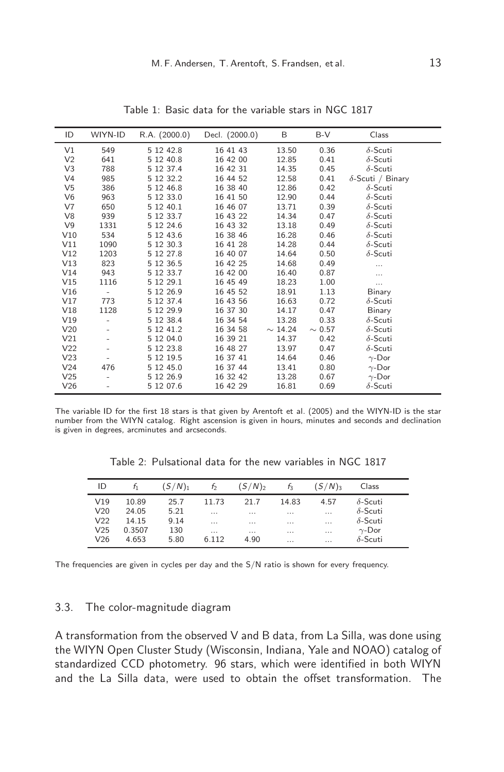| ID              | WIYN-ID                  | R.A. (2000.0) | Decl. (2000.0) | B            | $B-V$       | Class                    |
|-----------------|--------------------------|---------------|----------------|--------------|-------------|--------------------------|
| V <sub>1</sub>  | 549                      | 5 12 42.8     | 16 41 43       | 13.50        | 0.36        | $\delta$ -Scuti          |
| V <sub>2</sub>  | 641                      | 5 12 40.8     | 16 42 00       | 12.85        | 0.41        | $\delta$ -Scuti          |
| V <sub>3</sub>  | 788                      | 5 12 37.4     | 16 42 31       | 14.35        | 0.45        | $\delta$ -Scuti          |
| V <sub>4</sub>  | 985                      | 5 12 32.2     | 16 44 52       | 12.58        | 0.41        | $\delta$ -Scuti / Binary |
| V <sub>5</sub>  | 386                      | 5 12 46.8     | 16 38 40       | 12.86        | 0.42        | $\delta$ -Scuti          |
| V <sub>6</sub>  | 963                      | 5 12 33.0     | 16 41 50       | 12.90        | 0.44        | $\delta$ -Scuti          |
| V <sub>7</sub>  | 650                      | 5 12 40.1     | 16 46 07       | 13.71        | 0.39        | $\delta$ -Scuti          |
| V8              | 939                      | 5 12 33.7     | 16 43 22       | 14.34        | 0.47        | $\delta$ -Scuti          |
| V <sub>9</sub>  | 1331                     | 5 12 24.6     | 16 43 32       | 13.18        | 0.49        | $\delta$ -Scuti          |
| V10             | 534                      | 5 12 43.6     | 16 38 46       | 16.28        | 0.46        | $\delta$ -Scuti          |
| V11             | 1090                     | 5 12 30.3     | 16 41 28       | 14.28        | 0.44        | $\delta$ -Scuti          |
| V12             | 1203                     | 5 12 27.8     | 16 40 07       | 14.64        | 0.50        | $\delta$ -Scuti          |
| V13             | 823                      | 5 12 36.5     | 16 42 25       | 14.68        | 0.49        | $\cdots$                 |
| V14             | 943                      | 5 12 33.7     | 16 42 00       | 16.40        | 0.87        | $\cdots$                 |
| V15             | 1116                     | 5 12 29.1     | 16 45 49       | 18.23        | 1.00        | $\cdots$                 |
| V16             | $\bar{ }$                | 5 12 26.9     | 16 45 52       | 18.91        | 1.13        | Binary                   |
| V17             | 773                      | 5 12 37.4     | 16 43 56       | 16.63        | 0.72        | $\delta$ -Scuti          |
| V18             | 1128                     | 5 12 29.9     | 16 37 30       | 14.17        | 0.47        | Binary                   |
| V19             |                          | 5 12 38.4     | 16 34 54       | 13.28        | 0.33        | $\delta$ -Scuti          |
| V <sub>20</sub> |                          | 5 12 41.2     | 16 34 58       | $\sim$ 14.24 | $\sim 0.57$ | $\delta$ -Scuti          |
| V21             |                          | 5 12 04.0     | 16 39 21       | 14.37        | 0.42        | $\delta$ -Scuti          |
| V <sub>22</sub> | $\overline{\phantom{0}}$ | 5 12 23.8     | 16 48 27       | 13.97        | 0.47        | $\delta$ -Scuti          |
| V <sub>23</sub> |                          | 5 12 19.5     | 16 37 41       | 14.64        | 0.46        | $\gamma$ -Dor            |
| V <sub>24</sub> | 476                      | 5 12 45.0     | 16 37 44       | 13.41        | 0.80        | $\gamma$ -Dor            |
| V <sub>25</sub> | ۰                        | 5 12 26.9     | 16 32 42       | 13.28        | 0.67        | $\gamma$ -Dor            |
| V26             |                          | 5 12 07.6     | 16 42 29       | 16.81        | 0.69        | $\delta$ -Scuti          |

Table 1: Basic data for the variable stars in NGC 1817

The variable ID for the first 18 stars is that given by Arentoft et al. (2005) and the WIYN-ID is the star number from the WIYN catalog. Right ascension is given in hours, minutes and seconds and declination is given in degrees, arcminutes and arcseconds.

Table 2: Pulsational data for the new variables in NGC 1817

| ID              |        | $(S/N)_1$ | t,       | $(S/N)_{2}$ | t3       | (S/N) <sub>3</sub> | Class           |
|-----------------|--------|-----------|----------|-------------|----------|--------------------|-----------------|
| V19             | 10.89  | 25.7      | 11.73    | 21.7        | 14.83    | 4.57               | $\delta$ -Scuti |
| V20             | 24.05  | 5.21      | $\cdots$ | $\cdots$    | $\cdots$ | $\cdots$           | $\delta$ -Scuti |
| V <sub>22</sub> | 14.15  | 9.14      | $\cdots$ | $\cdots$    | $\cdots$ | $\cdots$           | $\delta$ -Scuti |
| V <sub>25</sub> | 0.3507 | 130       | $\cdots$ | $\cdots$    | $\cdots$ | $\cdots$           | $\gamma$ -Dor   |
| V26             | 4.653  | 5.80      | 6.112    | 4.90        | $\cdots$ | $\cdots$           | $\delta$ -Scuti |

The frequencies are given in cycles per day and the S/N ratio is shown for every frequency.

#### 3.3. The color-magnitude diagram

A transformation from the observed V and B data, from La Silla, was done using the WIYN Open Cluster Study (Wisconsin, Indiana, Yale and NOAO) catalog of standardized CCD photometry. 96 stars, which were identified in both WIYN and the La Silla data, were used to obtain the offset transformation. The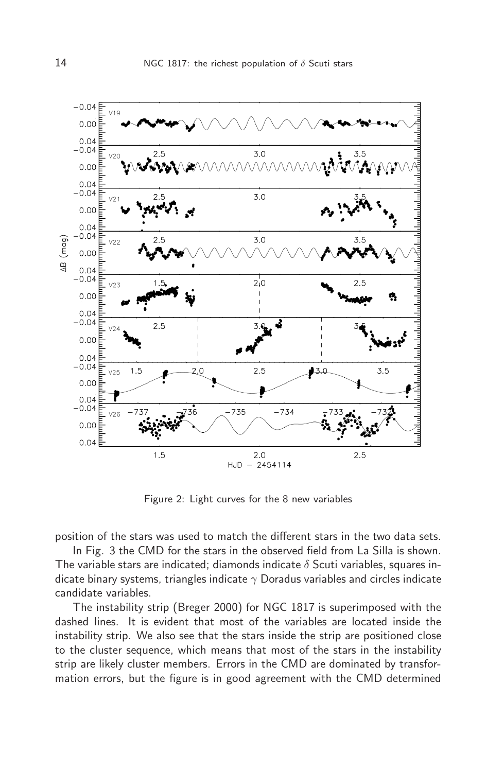

Figure 2: Light curves for the 8 new variables

position of the stars was used to match the different stars in the two data sets.

In Fig. 3 the CMD for the stars in the observed field from La Silla is shown. The variable stars are indicated; diamonds indicate  $\delta$  Scuti variables, squares indicate binary systems, triangles indicate  $\gamma$  Doradus variables and circles indicate candidate variables.

The instability strip (Breger 2000) for NGC 1817 is superimposed with the dashed lines. It is evident that most of the variables are located inside the instability strip. We also see that the stars inside the strip are positioned close to the cluster sequence, which means that most of the stars in the instability strip are likely cluster members. Errors in the CMD are dominated by transformation errors, but the figure is in good agreement with the CMD determined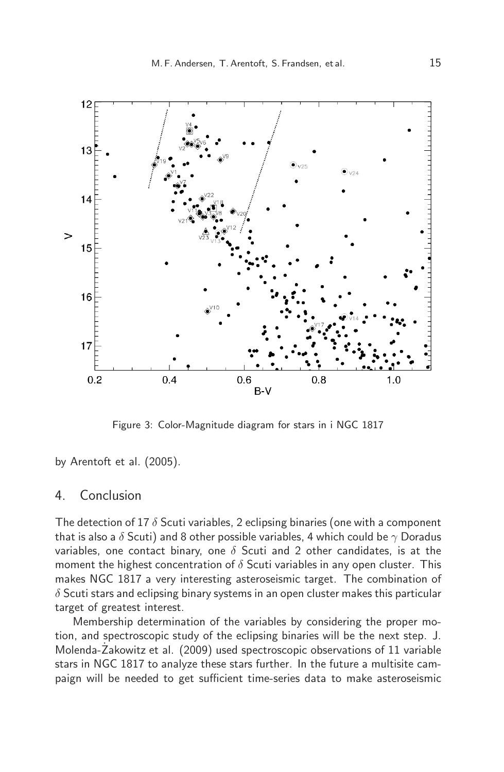

Figure 3: Color-Magnitude diagram for stars in i NGC 1817

by Arentoft et al. (2005).

# 4. Conclusion

The detection of 17  $\delta$  Scuti variables, 2 eclipsing binaries (one with a component that is also a  $\delta$  Scuti) and 8 other possible variables, 4 which could be  $\gamma$  Doradus variables, one contact binary, one  $\delta$  Scuti and 2 other candidates, is at the moment the highest concentration of  $\delta$  Scuti variables in any open cluster. This makes NGC 1817 a very interesting asteroseismic target. The combination of  $\delta$  Scuti stars and eclipsing binary systems in an open cluster makes this particular target of greatest interest.

Membership determination of the variables by considering the proper motion, and spectroscopic study of the eclipsing binaries will be the next step. J. Molenda-Zakowitz et al. (2009) used spectroscopic observations of 11 variable stars in NGC 1817 to analyze these stars further. In the future a multisite campaign will be needed to get sufficient time-series data to make asteroseismic